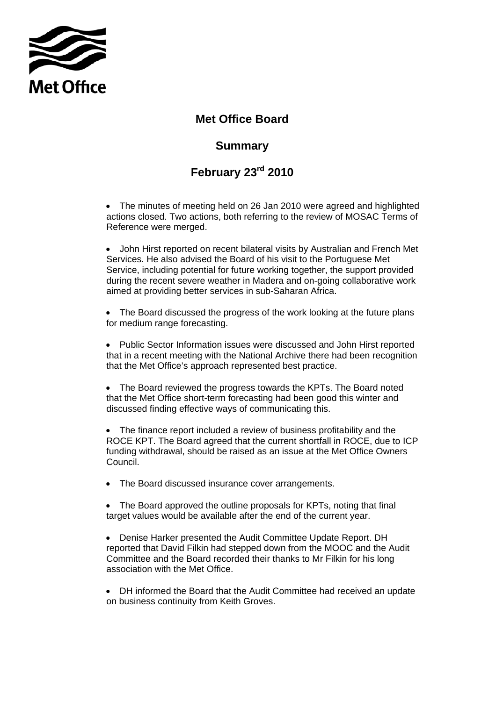

## **Met Office Board**

## **Summary**

## **February 23rd 2010**

• The minutes of meeting held on 26 Jan 2010 were agreed and highlighted actions closed. Two actions, both referring to the review of MOSAC Terms of Reference were merged.

• John Hirst reported on recent bilateral visits by Australian and French Met Services. He also advised the Board of his visit to the Portuguese Met Service, including potential for future working together, the support provided during the recent severe weather in Madera and on-going collaborative work aimed at providing better services in sub-Saharan Africa.

• The Board discussed the progress of the work looking at the future plans for medium range forecasting.

• Public Sector Information issues were discussed and John Hirst reported that in a recent meeting with the National Archive there had been recognition that the Met Office's approach represented best practice.

• The Board reviewed the progress towards the KPTs. The Board noted that the Met Office short-term forecasting had been good this winter and discussed finding effective ways of communicating this.

The finance report included a review of business profitability and the ROCE KPT. The Board agreed that the current shortfall in ROCE, due to ICP funding withdrawal, should be raised as an issue at the Met Office Owners Council.

• The Board discussed insurance cover arrangements.

• The Board approved the outline proposals for KPTs, noting that final target values would be available after the end of the current year.

• Denise Harker presented the Audit Committee Update Report. DH reported that David Filkin had stepped down from the MOOC and the Audit Committee and the Board recorded their thanks to Mr Filkin for his long association with the Met Office.

• DH informed the Board that the Audit Committee had received an update on business continuity from Keith Groves.